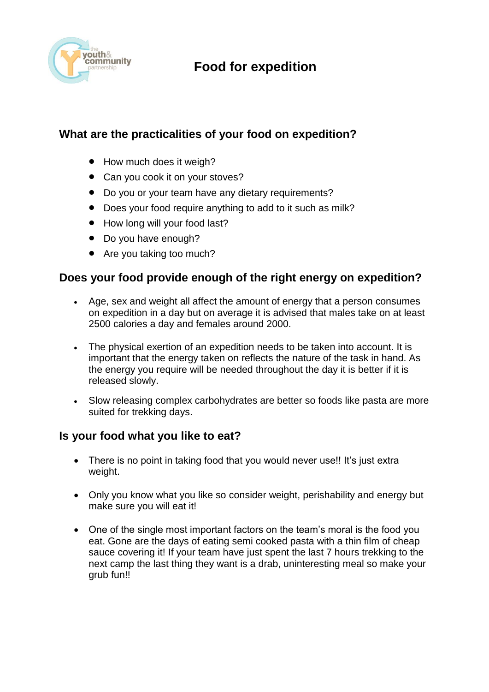

## **Food for expedition**

### **What are the practicalities of your food on expedition?**

- How much does it weigh?
- Can you cook it on your stoves?
- Do you or your team have any dietary requirements?
- Does your food require anything to add to it such as milk?
- How long will your food last?
- Do you have enough?
- Are you taking too much?

#### **Does your food provide enough of the right energy on expedition?**

- Age, sex and weight all affect the amount of energy that a person consumes on expedition in a day but on average it is advised that males take on at least 2500 calories a day and females around 2000.
- The physical exertion of an expedition needs to be taken into account. It is important that the energy taken on reflects the nature of the task in hand. As the energy you require will be needed throughout the day it is better if it is released slowly.
- Slow releasing complex carbohydrates are better so foods like pasta are more suited for trekking days.

#### **Is your food what you like to eat?**

- There is no point in taking food that you would never use!! It's just extra weight.
- Only you know what you like so consider weight, perishability and energy but make sure you will eat it!
- One of the single most important factors on the team's moral is the food you eat. Gone are the days of eating semi cooked pasta with a thin film of cheap sauce covering it! If your team have just spent the last 7 hours trekking to the next camp the last thing they want is a drab, uninteresting meal so make your grub fun!!